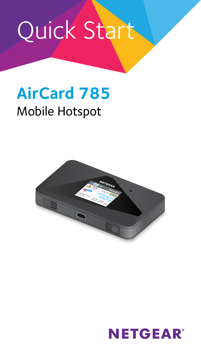# Quick Start

## **AirCard 785**

## Mobile Hotspot



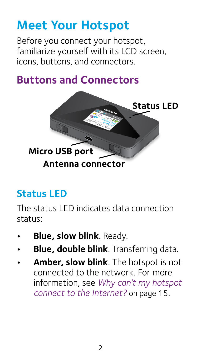## **Meet Your Hotspot**

Before you connect your hotspot, familiarize yourself with its LCD screen, icons, buttons, and connectors.

#### **Buttons and Connectors**



#### **Status LED**

The status LED indicates data connection status:

- **Blue, slow blink**. Ready.
- **Blue, double blink**. Transferring data.
- **Amber, slow blink**. The hotspot is not connected to the network. For more information, see *[Why can't my hotspot](#page-14-0)  [connect to the Internet?](#page-14-0)* on page 15.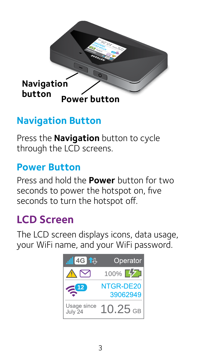

#### **Navigation Button**

Press the **Navigation** button to cycle through the LCD screens.

#### **Power Button**

Press and hold the **Power** button for two seconds to power the hotspot on, five seconds to turn the hotspot off.

### **LCD Screen**

The LCD screen displays icons, data usage, your WiFi name, and your WiFi password.

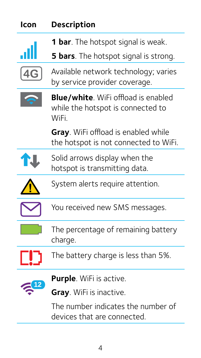| Icon | <b>Description</b>                                                                      |
|------|-----------------------------------------------------------------------------------------|
|      | <b>1 bar</b> . The hotspot signal is weak.                                              |
|      | <b>5 bars</b> . The hotspot signal is strong.                                           |
|      | Available network technology; varies<br>by service provider coverage.                   |
|      | <b>Blue/white.</b> WiFi offload is enabled<br>while the hotspot is connected to<br>WiFi |
|      | <b>Gray.</b> WiFi offload is enabled while<br>the hotspot is not connected to WiFi.     |
|      | Solid arrows display when the<br>hotspot is transmitting data.                          |
|      | System alerts require attention.                                                        |
|      | You received new SMS messages.                                                          |
|      | The percentage of remaining battery<br>charge.                                          |
|      | The battery charge is less than 5%.                                                     |
|      | <b>Purple</b> . WiFi is active.                                                         |
|      | Gray. WiFi is inactive.                                                                 |
|      | The number indicates the number of<br>devices that are connected.                       |

4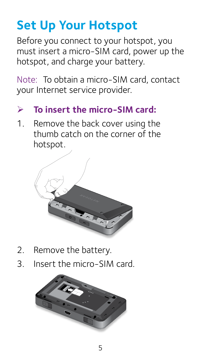## **Set Up Your Hotspot**

Before you connect to your hotspot, you must insert a micro-SIM card, power up the hotspot, and charge your battery.

Note: To obtain a micro-SIM card, contact your Internet service provider.

#### ¾ **To insert the micro-SIM card:**

1. Remove the back cover using the thumb catch on the corner of the hotspot.



- 2. Remove the battery.
- 3. Insert the micro-SIM card.

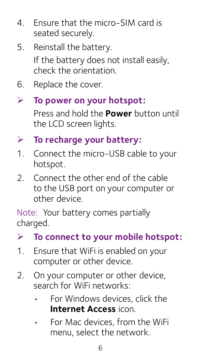- 4. Ensure that the micro-SIM card is seated securely.
- 5. Reinstall the battery. If the battery does not install easily, check the orientation.
- 6. Replace the cover.
- ¾ **To power on your hotspot:**

Press and hold the **Power** button until the LCD screen lights.

- ¾ **To recharge your battery:**
- 1. Connect the micro-USB cable to your hotspot.
- 2. Connect the other end of the cable to the USB port on your computer or other device.

Note: Your battery comes partially charged.

- ¾ **To connect to your mobile hotspot:**
- 1. Ensure that WiFi is enabled on your computer or other device.
- 2. On your computer or other device, search for WiFi networks:
	- For Windows devices, click the **Internet Access** icon.
	- For Mac devices, from the WiFi menu, select the network.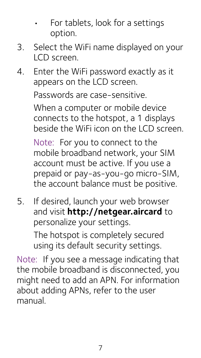- For tablets, look for a settings option.
- 3. Select the WiFi name displayed on your LCD screen.
- 4. Enter the WiFi password exactly as it appears on the LCD screen. Passwords are case-sensitive. When a computer or mobile device connects to the hotspot, a 1 displays beside the WiFi icon on the LCD screen.

Note: For you to connect to the mobile broadband network, your SIM account must be active. If you use a prepaid or pay-as-you-go micro-SIM, the account balance must be positive.

5. If desired, launch your web browser and visit**<http://netgear.aircard>** to personalize your settings.

> The hotspot is completely secured using its default security settings.

Note: If you see a message indicating that the mobile broadband is disconnected, you might need to add an APN. For information about adding APNs, refer to the user manual.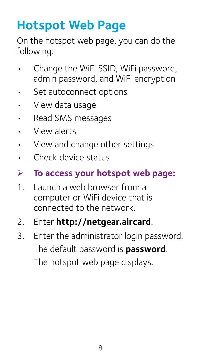## **Hotspot Web Page**

On the hotspot web page, you can do the following:

- Change the WiFi SSID, WiFi password, admin password, and WiFi encryption
- Set autoconnect options
- • View data usage
- • Read SMS messages
- • View alerts
- • View and change other settings
- • Check device status
- ¾ **To access your hotspot web page:**
- 1. Launch a web browser from a computer or WiFi device that is connected to the network.
- 2. Enter **http://netgear.aircard**.
- 3. Enter the administrator login password. The default password is **password**. The hotspot web page displays.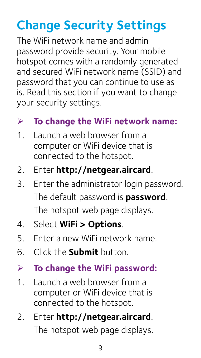## **Change Security Settings**

The WiFi network name and admin password provide security. Your mobile hotspot comes with a randomly generated and secured WiFi network name (SSID) and password that you can continue to use as is. Read this section if you want to change your security settings.

#### ¾ **To change the WiFi network name:**

- 1. Launch a web browser from a computer or WiFi device that is connected to the hotspot.
- 2. Enter **http://netgear.aircard**.
- 3. Enter the administrator login password. The default password is **password**. The hotspot web page displays.
- 4. Select **WiFi > Options**.
- 5. Enter a new WiFi network name.
- 6. Click the **Submit** button.

#### ¾ **To change the WiFi password:**

- 1. Launch a web browser from a computer or WiFi device that is connected to the hotspot.
- 2. Enter **http://netgear.aircard**. The hotspot web page displays.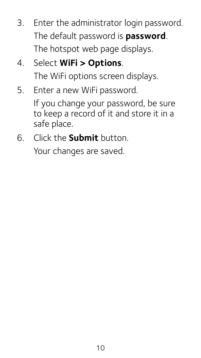- 3. Enter the administrator login password. The default password is **password**. The hotspot web page displays.
- 4. Select **WiFi > Options**. The WiFi options screen displays.
- 5. Enter a new WiFi password.

If you change your password, be sure to keep a record of it and store it in a safe place.

6. Click the **Submit** button.

Your changes are saved.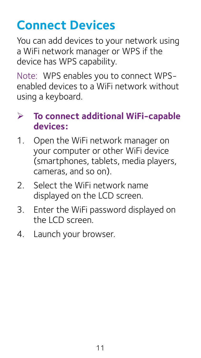## **Connect Devices**

You can add devices to your network using a WiFi network manager or WPS if the device has WPS capability.

Note: WPS enables you to connect WPSenabled devices to a WiFi network without using a keyboard.

#### ¾ **To connect additional WiFi-capable devices:**

- 1. Open the WiFi network manager on your computer or other WiFi device (smartphones, tablets, media players, cameras, and so on).
- 2. Select the WiFi network name displayed on the LCD screen.
- 3. Enter the WiFi password displayed on the LCD screen.
- 4. Launch your browser.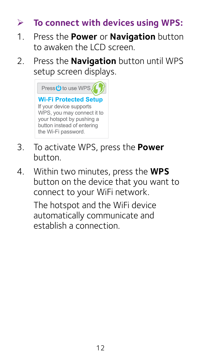#### ¾ **To connect with devices using WPS:**

- 1. Press the **Power** or **Navigation** button to awaken the LCD screen.
- 2. Press the **Navigation** button until WPS setup screen displays.



- 3. To activate WPS, press the **Power** button.
- 4. Within two minutes, press the **WPS** button on the device that you want to connect to your WiFi network.

The hotspot and the WiFi device automatically communicate and establish a connection.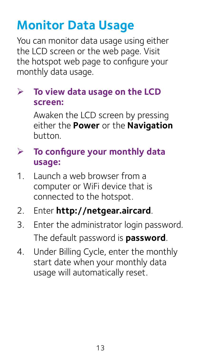## **Monitor Data Usage**

You can monitor data usage using either the LCD screen or the web page. Visit the hotspot web page to configure your monthly data usage.

#### ¾ **To view data usage on the LCD screen:**

Awaken the LCD screen by pressing either the **Power** or the **Navigation** button.

#### ¾ **To configure your monthly data usage:**

- 1. Launch a web browser from a computer or WiFi device that is connected to the hotspot.
- 2. Enter **http://netgear.aircard**.
- 3. Enter the administrator login password. The default password is **password**.
- 4. Under Billing Cycle, enter the monthly start date when your monthly data usage will automatically reset.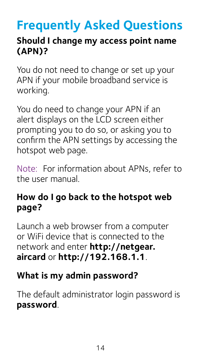## **Frequently Asked Questions**

#### **Should I change my access point name (APN)?**

You do not need to change or set up your APN if your mobile broadband service is working.

You do need to change your APN if an alert displays on the LCD screen either prompting you to do so, or asking you to confirm the APN settings by accessing the hotspot web page.

Note: For information about APNs, refer to the user manual.

#### **How do I go back to the hotspot web page?**

Launch a web browser from a computer or WiFi device that is connected to the network and enter **http://netgear. aircard** or **http://192.168.1.1**.

#### **What is my admin password?**

The default administrator login password is **password**.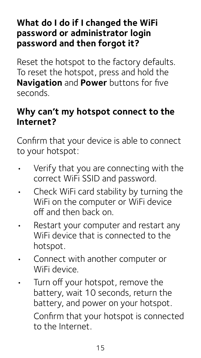#### **What do I do if I changed the WiFi password or administrator login password and then forgot it?**

Reset the hotspot to the factory defaults. To reset the hotspot, press and hold the **Navigation** and **Power** buttons for five seconds.

#### <span id="page-14-0"></span>**Why can't my hotspot connect to the Internet?**

Confirm that your device is able to connect to your hotspot:

- Verify that you are connecting with the correct WiFi SSID and password.
- Check WiFi card stability by turning the WiFi on the computer or WiFi device off and then back on.
- Restart your computer and restart any WiFi device that is connected to the hotspot.
- Connect with another computer or WiFi device.
- • Turn off your hotspot, remove the battery, wait 10 seconds, return the battery, and power on your hotspot. Confirm that your hotspot is connected to the Internet.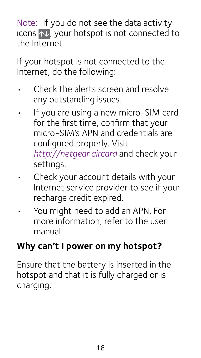Note: If you do not see the data activity icons  $\uparrow\downarrow$ , your hotspot is not connected to the Internet.

If your hotspot is not connected to the Internet, do the following:

- Check the alerts screen and resolve any outstanding issues.
- • If you are using a new micro-SIM card for the first time, confirm that your micro-SIM's APN and credentials are configured properly. Visit *http://netgear.aircard* and check your settings.
- Check your account details with your Internet service provider to see if your recharge credit expired.
- You might need to add an APN. For more information, refer to the user manual.

#### **Why can't I power on my hotspot?**

Ensure that the battery is inserted in the hotspot and that it is fully charged or is charging.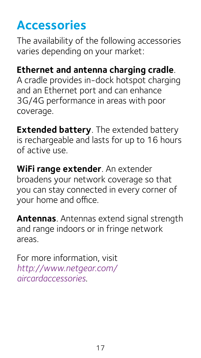## **Accessories**

The availability of the following accessories varies depending on your market:

#### **Ethernet and antenna charging cradle**.

A cradle provides in-dock hotspot charging and an Ethernet port and can enhance 3G/4G performance in areas with poor coverage.

**Extended battery**. The extended battery is rechargeable and lasts for up to 16 hours of active use.

**WiFi range extender**. An extender broadens your network coverage so that you can stay connected in every corner of your home and office.

**Antennas**. Antennas extend signal strength and range indoors or in fringe network areas.

For more information, visit *[http://www.netgear.com/](http://www.netgear.com/aircardaccessories) [aircardaccessories](http://www.netgear.com/aircardaccessories)*.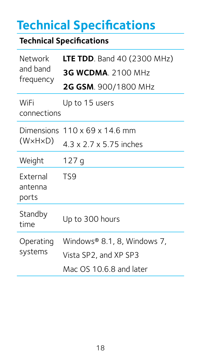## **Technical Specifications**

#### **Technical Specifications**

| Network<br>and band<br>frequency    | <b>LTE TDD.</b> Band 40 (2300 MHz)<br><b>3G WCDMA</b> , 2100 MHz<br>2G GSM. 900/1800 MHz |
|-------------------------------------|------------------------------------------------------------------------------------------|
| WiFi<br>connections                 | Up to 15 users                                                                           |
| Dimensions<br>(W×H×D)               | $110 \times 69 \times 14.6$ mm<br>4.3 x 2.7 x 5.75 inches                                |
| Weight                              | 127 q                                                                                    |
| <b>External</b><br>antenna<br>ports | TS9                                                                                      |
| Standby<br>time                     | Up to 300 hours                                                                          |
| Operating<br>systems                | Windows® 8.1, 8, Windows 7,<br>Vista SP2, and XP SP3<br>Mac OS 10.6.8 and later          |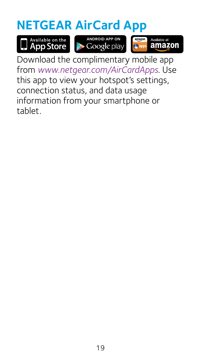## **NETGEAR AirCard App**





amazon

Download the complimentary mobile app from *[www.netgear.com/AirCardApps](http://www.netgear.com/AirCardApps)*. Use this app to view your hotspot's settings, connection status, and data usage information from your smartphone or tablet.